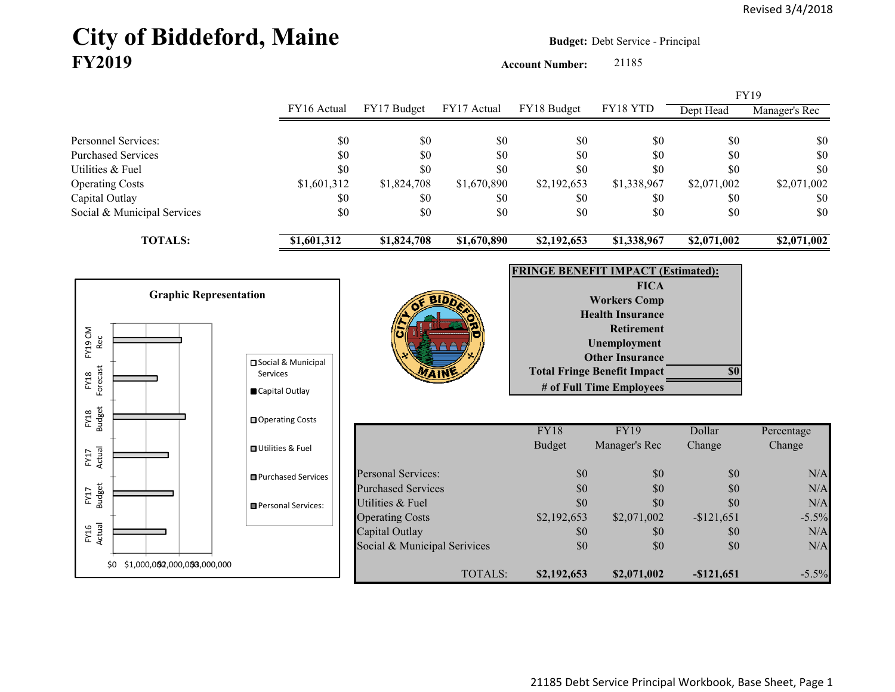## City of Biddeford, Maine **Budget: Debt Service - Principal FY2019**

**Account Number:** 21185

|                             |             |             |             |             |             |             | <b>FY19</b>   |
|-----------------------------|-------------|-------------|-------------|-------------|-------------|-------------|---------------|
|                             | FY16 Actual | FY17 Budget | FY17 Actual | FY18 Budget | FY18 YTD    | Dept Head   | Manager's Rec |
|                             |             |             |             |             |             |             |               |
| Personnel Services:         | \$0         | \$0         | \$0         | \$0         | \$0         | \$0         | \$0           |
| <b>Purchased Services</b>   | \$0         | \$0         | \$0         | \$0         | \$0         | \$0         | \$0           |
| Utilities & Fuel            | \$0         | \$0         | \$0         | \$0         | \$0         | \$0         | \$0           |
| <b>Operating Costs</b>      | \$1,601,312 | \$1,824,708 | \$1,670,890 | \$2,192,653 | \$1,338,967 | \$2,071,002 | \$2,071,002   |
| Capital Outlay              | \$0         | \$0         | \$0         | \$0         | \$0         | \$0         | <b>SO</b>     |
| Social & Municipal Services | \$0         | \$0         | \$0         | \$0         | \$0         | \$0         | \$0           |
| <b>TOTALS:</b>              | \$1,601,312 | \$1,824,708 | \$1,670,890 | \$2,192,653 | \$1,338,967 | \$2,071,002 | \$2,071,002   |
|                             |             |             |             |             |             |             |               |

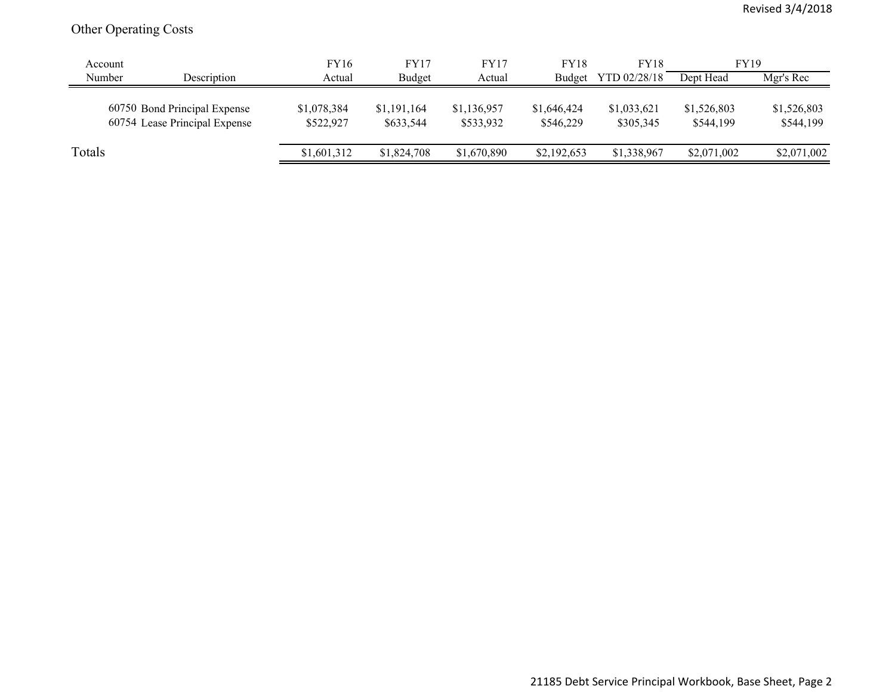## Other Operating Costs

|        | Account                                                       | <b>FY16</b>              | FY17                     | FY17                     | <b>FY18</b>              | <b>FY18</b>              | <b>FY19</b>              |                          |
|--------|---------------------------------------------------------------|--------------------------|--------------------------|--------------------------|--------------------------|--------------------------|--------------------------|--------------------------|
| Number | Description                                                   | Actual                   | Budget                   | Actual                   | Budget                   | YTD 02/28/18             | Dept Head                | Mgr's Rec                |
|        | 60750 Bond Principal Expense<br>60754 Lease Principal Expense | \$1,078,384<br>\$522,927 | \$1,191,164<br>\$633,544 | \$1,136,957<br>\$533,932 | \$1,646,424<br>\$546,229 | \$1,033,621<br>\$305,345 | \$1,526,803<br>\$544,199 | \$1,526,803<br>\$544,199 |
| Totals |                                                               | \$1,601,312              | \$1,824,708              | \$1,670,890              | \$2,192,653              | \$1,338,967              | \$2,071,002              | \$2,071,002              |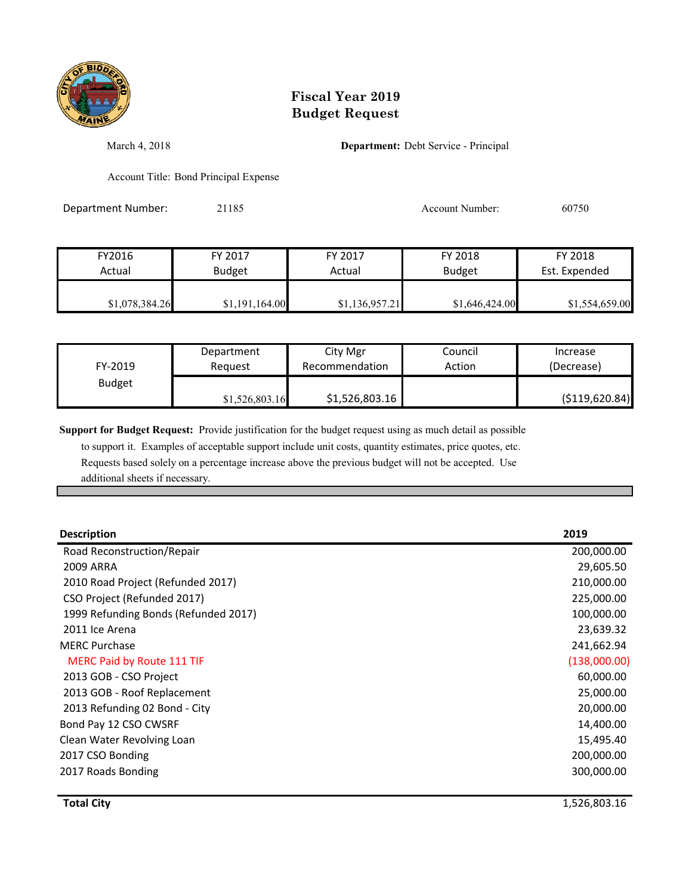

## **Fiscal Year 2019 Budget Request**

March 4, 2018 **Department:** Debt Service - Principal

Account Title: Bond Principal Expense

Department Number: 21185 21185 Account Number: 60750

| FY2016         | FY 2017        | FY 2017        | FY 2018        | FY 2018        |
|----------------|----------------|----------------|----------------|----------------|
| Actual         | <b>Budget</b>  | Actual         | <b>Budget</b>  | Est. Expended  |
| \$1,078,384.26 | \$1,191,164.00 | \$1,136,957.21 | \$1,646,424.00 | \$1,554,659.00 |

| FY-2019       | Department     | City Mgr       | Council | Increase         |
|---------------|----------------|----------------|---------|------------------|
|               | Reauest        | Recommendation | Action  | (Decrease)       |
| <b>Budget</b> | \$1,526,803.16 | \$1,526,803.16 |         | ( \$119, 620.84) |

**Support for Budget Request:** Provide justification for the budget request using as much detail as possible

 to support it. Examples of acceptable support include unit costs, quantity estimates, price quotes, etc. Requests based solely on a percentage increase above the previous budget will not be accepted. Use additional sheets if necessary.

| <b>Description</b>                   | 2019         |
|--------------------------------------|--------------|
| Road Reconstruction/Repair           | 200,000.00   |
| 2009 ARRA                            | 29,605.50    |
| 2010 Road Project (Refunded 2017)    | 210,000.00   |
| CSO Project (Refunded 2017)          | 225,000.00   |
| 1999 Refunding Bonds (Refunded 2017) | 100,000.00   |
| 2011 Ice Arena                       | 23,639.32    |
| <b>MERC Purchase</b>                 | 241,662.94   |
| MERC Paid by Route 111 TIF           | (138,000.00) |
| 2013 GOB - CSO Project               | 60,000.00    |
| 2013 GOB - Roof Replacement          | 25,000.00    |
| 2013 Refunding 02 Bond - City        | 20,000.00    |
| Bond Pay 12 CSO CWSRF                | 14,400.00    |
| Clean Water Revolving Loan           | 15,495.40    |
| 2017 CSO Bonding                     | 200,000.00   |
| 2017 Roads Bonding                   | 300,000.00   |